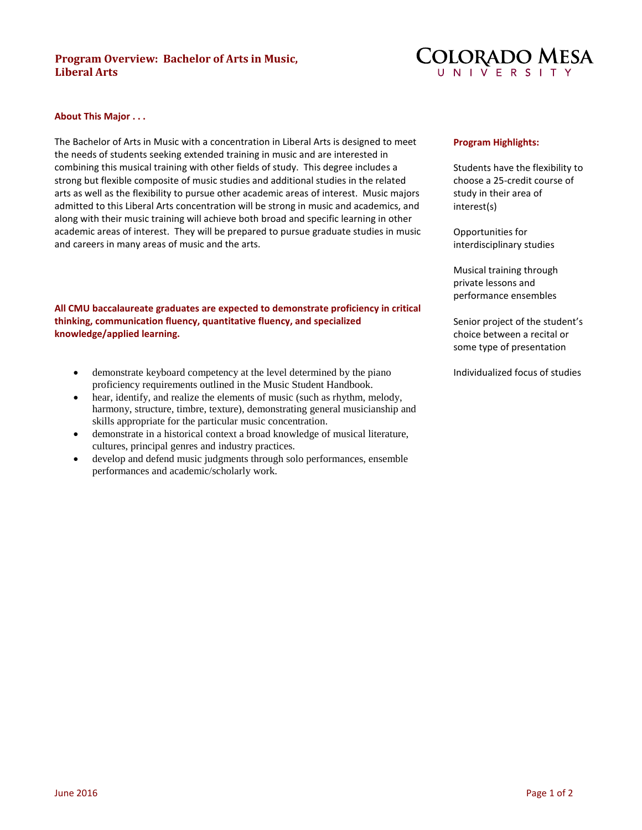# **Program Overview: Bachelor of Arts in Music, Liberal Arts**



#### **About This Major . . .**

The Bachelor of Arts in Music with a concentration in Liberal Arts is designed to meet the needs of students seeking extended training in music and are interested in combining this musical training with other fields of study. This degree includes a strong but flexible composite of music studies and additional studies in the related arts as well as the flexibility to pursue other academic areas of interest. Music majors admitted to this Liberal Arts concentration will be strong in music and academics, and along with their music training will achieve both broad and specific learning in other academic areas of interest. They will be prepared to pursue graduate studies in music and careers in many areas of music and the arts.

## **All CMU baccalaureate graduates are expected to demonstrate proficiency in critical thinking, communication fluency, quantitative fluency, and specialized knowledge/applied learning.**

- demonstrate keyboard competency at the level determined by the piano proficiency requirements outlined in the Music Student Handbook.
- hear, identify, and realize the elements of music (such as rhythm, melody, harmony, structure, timbre, texture), demonstrating general musicianship and skills appropriate for the particular music concentration.
- demonstrate in a historical context a broad knowledge of musical literature, cultures, principal genres and industry practices.
- develop and defend music judgments through solo performances, ensemble performances and academic/scholarly work.

#### **Program Highlights:**

Students have the flexibility to choose a 25-credit course of study in their area of interest(s)

Opportunities for interdisciplinary studies

Musical training through private lessons and performance ensembles

Senior project of the student's choice between a recital or some type of presentation

Individualized focus of studies